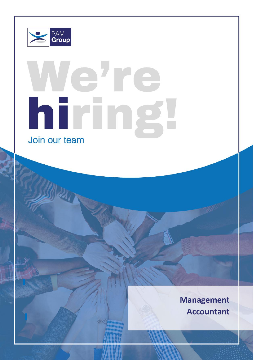

Role: Learning & Development Manager

 $P_{\text{max}}$ 

# lehre hiring Join our team

 $\mathcal{L}$  . However, the flexible to travel on our Warrington to our Warrington to our Warrington head of its our Warrington head of its our Warrington to our Warrington head of its our Warrington to our Warrington head of **Management Accountant**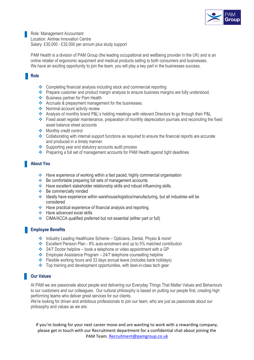

Role: Management Accountant Location: Aintree Innovation Centre Salary: £30,000 - £32,000 per annum plus study support

PAM Health is a division of PAM Group (the leading occupational and wellbeing provider in the UK) and is an online retailer of ergonomic equipment and medical products selling to both consumers and businesses. We have an exciting opportunity to join the team, you will play a key part in the businesses success.

### **Role**

- ❖ Completing financial analysis including stock and commercial reporting
- ❖ Prepare customer and product margin analysis to ensure business margins are fully understood.
- ❖ Business partner for Pam Health
- ❖ Accruals & prepayment management for the businesses.
- ❖ Nominal account activity review
- ❖ Analysis of monthly brand P&L's holding meetings with relevant Directors to go through their P&L
- ❖ Fixed asset register maintenance, preparation of monthly depreciation journals and reconciling the fixed asset balance sheet accounts
- ❖ Monthly credit control
- ❖ Collaborating with internal support functions as required to ensure the financial reports are accurate and produced in a timely manner.
- ❖ Supporting year end statutory accounts audit process
- ❖ Preparing a full set of management accounts for PAM Health against tight deadlines

# **About You**

- ❖ Have experience of working within a fast paced, highly commercial organisation
- ❖ Be comfortable preparing full sets of management accounts
- ❖ Have excellent stakeholder relationship skills and robust influencing skills.
- ❖ Be commercially minded
- ❖ Ideally have experience within warehouse/logistics/manufacturing, but all industries will be considered
- ❖ Have practical experience of financial analysis and reporting.
- ❖ Have advanced excel skills
- ❖ CIMA/ACCA qualified preferred but not essential (either part or full)

### **Employee Benefits**

- ❖ Industry Leading Healthcare Scheme Opticians, Dental, Physio & more!
- ❖ Excellent Pension Plan 8% auto-enrolment and up to 5% matched contribution
- ❖ 24/7 Doctor helpline book a telephone or video appointment with a GP
- $\div$  Employee Assistance Program 24/7 telephone counselling helpline
- ❖ Flexible working hours and 33 days annual leave (includes bank holidays)
- ❖ Top training and development opportunities, with best-in-class tech gear

# **Our Values**

At PAM we are passionate about people and delivering our Everyday Things That Matter Values and Behaviours to our customers and our colleagues. Our cultural philosophy is based on putting our people first, creating high performing teams who deliver great services for our clients.

We're looking for driven and ambitious professionals to join our team, who are just as passionate about our philosophy and values as we are:

If you're looking for your next career move and are wanting to work with a rewarding company, please get in touch with our Recruitment department for a confidential chat about joining the PAM Team. [Recruitment@pamgroup.co.uk](mailto:Recruitment@pamgroup.co.uk)